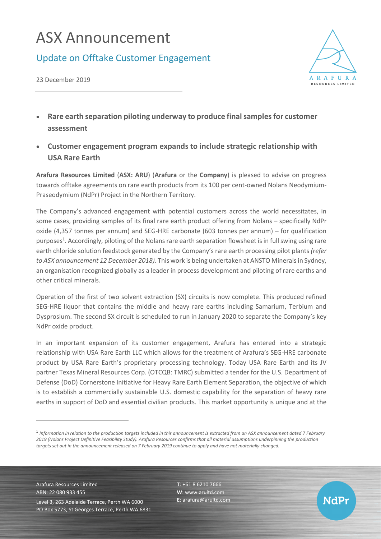# ASX Announcement

### Update on Offtake Customer Engagement



23 December 2019

- **Rare earth separation piloting underway to produce final samples for customer assessment**
- **Customer engagement program expands to include strategic relationship with USA Rare Earth**

**Arafura Resources Limited** (**ASX: ARU**) (**Arafura** or the **Company**) is pleased to advise on progress towards offtake agreements on rare earth products from its 100 per cent-owned Nolans Neodymium-Praseodymium (NdPr) Project in the Northern Territory.

The Company's advanced engagement with potential customers across the world necessitates, in some cases, providing samples of its final rare earth product offering from Nolans – specifically NdPr oxide (4,357 tonnes per annum) and SEG-HRE carbonate (603 tonnes per annum) – for qualification purposes<sup>1</sup>. Accordingly, piloting of the Nolans rare earth separation flowsheet is in full swing using rare earth chloride solution feedstock generated by the Company's rare earth processing pilot plants *(refer to ASX announcement 12 December 2018)*. This work is being undertaken at ANSTO Minerals in Sydney, an organisation recognized globally as a leader in process development and piloting of rare earths and other critical minerals.

Operation of the first of two solvent extraction (SX) circuits is now complete. This produced refined SEG-HRE liquor that contains the middle and heavy rare earths including Samarium, Terbium and Dysprosium. The second SX circuit is scheduled to run in January 2020 to separate the Company's key NdPr oxide product.

In an important expansion of its customer engagement, Arafura has entered into a strategic relationship with USA Rare Earth LLC which allows for the treatment of Arafura's SEG-HRE carbonate product by USA Rare Earth's proprietary processing technology. Today USA Rare Earth and its JV partner Texas Mineral Resources Corp. (OTCQB: TMRC) submitted a tender for the U.S. Department of Defense (DoD) Cornerstone Initiative for Heavy Rare Earth Element Separation, the objective of which is to establish a commercially sustainable U.S. domestic capability for the separation of heavy rare earths in support of DoD and essential civilian products. This market opportunity is unique and at the

Arafura Resources Limited ABN: 22 080 933 455 Level 3, 263 Adelaide Terrace, Perth WA 6000 PO Box 5773, St Georges Terrace, Perth WA 6831 **T**: +61 8 6210 7666 **W**: [www.arultd.com](http://www.arultd.com/) **E**[: arafura@arultd.com](about:blank)



<sup>1</sup> *Information in relation to the production targets included in this announcement is extracted from an ASX announcement dated 7 February 2019 (Nolans Project Definitive Feasibility Study). Arafura Resources confirms that all material assumptions underpinning the production targets set out in the announcement released on 7 February 2019 continue to apply and have not materially changed.*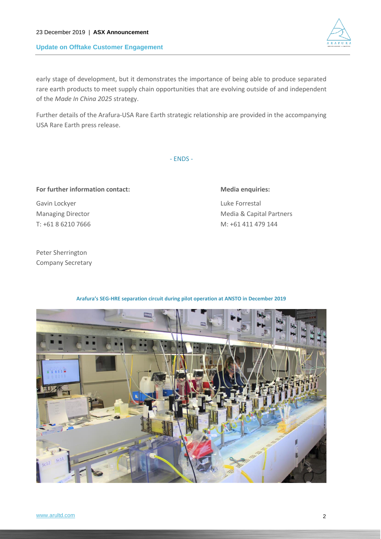**Update on Offtake Customer Engagement**

early stage of development, but it demonstrates the importance of being able to produce separated rare earth products to meet supply chain opportunities that are evolving outside of and independent of the *Made In China 2025* strategy.

Further details of the Arafura-USA Rare Earth strategic relationship are provided in the accompanying USA Rare Earth press release.

- ENDS -

### For further information contact: Media enquiries:

Gavin Lockyer **Luke Forrestal** Managing Director **Media & Capital Partners** Media & Capital Partners T: +61 8 6210 7666 M: +61 411 479 144

Peter Sherrington Company Secretary



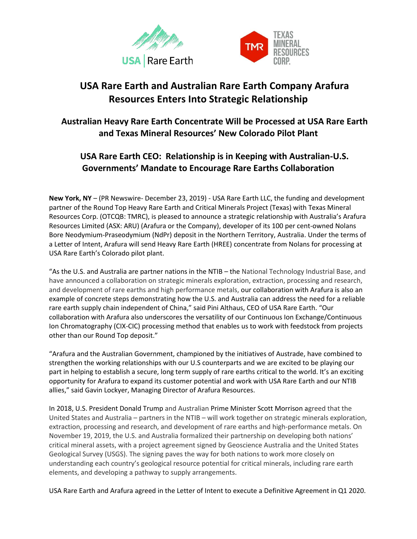



## **USA Rare Earth and Australian Rare Earth Company Arafura Resources Enters Into Strategic Relationship**

### **Australian Heavy Rare Earth Concentrate Will be Processed at USA Rare Earth and Texas Mineral Resources' New Colorado Pilot Plant**

### **USA Rare Earth CEO: Relationship is in Keeping with Australian-U.S. Governments' Mandate to Encourage Rare Earths Collaboration**

**New York, NY** – (PR Newswire- December 23, 2019) - USA Rare Earth LLC, the funding and development partner of the Round Top Heavy Rare Earth and Critical Minerals Project (Texas) with Texas Mineral Resources Corp. (OTCQB: TMRC), is pleased to announce a strategic relationship with Australia's Arafura Resources Limited (ASX: ARU) (Arafura or the Company), developer of its 100 per cent-owned Nolans Bore Neodymium-Praseodymium (NdPr) deposit in the Northern Territory, Australia. Under the terms of a Letter of Intent, Arafura will send Heavy Rare Earth (HREE) concentrate from Nolans for processing at USA Rare Earth's Colorado pilot plant.

"As the U.S. and Australia are partner nations in the NTIB – the National Technology Industrial Base, and have announced a collaboration on strategic minerals exploration, extraction, processing and research, and development of rare earths and high performance metals, our collaboration with Arafura is also an example of concrete steps demonstrating how the U.S. and Australia can address the need for a reliable rare earth supply chain independent of China," said Pini Althaus, CEO of USA Rare Earth. "Our collaboration with Arafura also underscores the versatility of our Continuous Ion Exchange/Continuous Ion Chromatography (CIX-CIC) processing method that enables us to work with feedstock from projects other than our Round Top deposit."

"Arafura and the Australian Government, championed by the initiatives of Austrade, have combined to strengthen the working relationships with our U.S counterparts and we are excited to be playing our part in helping to establish a secure, long term supply of rare earths critical to the world. It's an exciting opportunity for Arafura to expand its customer potential and work with USA Rare Earth and our NTIB allies," said Gavin Lockyer, Managing Director of Arafura Resources.

In 2018, U.S. President Donald Trump and Australian Prime Minister Scott Morrison agreed that the United States and Australia – partners in the NTIB – will work together on strategic minerals exploration, extraction, processing and research, and development of rare earths and high-performance metals. On November 19, 2019, the U.S. and Australia formalized their partnership on developing both nations' critical mineral assets, with a project agreement signed by Geoscience Australia and the United States Geological Survey (USGS). The signing paves the way for both nations to work more closely on understanding each country's geological resource potential for critical minerals, including rare earth elements, and developing a pathway to supply arrangements.

USA Rare Earth and Arafura agreed in the Letter of Intent to execute a Definitive Agreement in Q1 2020.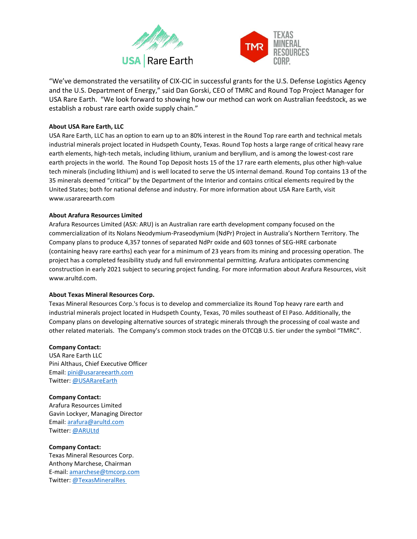

"We've demonstrated the versatility of CIX-CIC in successful grants for the U.S. Defense Logistics Agency and the U.S. Department of Energy," said Dan Gorski, CEO of TMRC and Round Top Project Manager for USA Rare Earth. "We look forward to showing how our method can work on Australian feedstock, as we establish a robust rare earth oxide supply chain."

#### **About USA Rare Earth, LLC**

USA Rare Earth, LLC has an option to earn up to an 80% interest in the Round Top rare earth and technical metals industrial minerals project located in Hudspeth County, Texas. Round Top hosts a large range of critical heavy rare earth elements, high-tech metals, including lithium, uranium and beryllium, and is among the lowest-cost rare earth projects in the world. The Round Top Deposit hosts 15 of the 17 rare earth elements, plus other high-value tech minerals (including lithium) and is well located to serve the US internal demand. Round Top contains 13 of the 35 minerals deemed "critical" by the Department of the Interior and contains critical elements required by the United States; both for national defense and industry. For more information about USA Rare Earth, visit [www.usarareearth.com](http://www.usarareearth.com/)

#### **About Arafura Resources Limited**

Arafura Resources Limited (ASX: ARU) is an Australian rare earth development company focused on the commercialization of its Nolans Neodymium-Praseodymium (NdPr) Project in Australia's Northern Territory. The Company plans to produce 4,357 tonnes of separated NdPr oxide and 603 tonnes of SEG-HRE carbonate (containing heavy rare earths) each year for a minimum of 23 years from its mining and processing operation. The project has a completed feasibility study and full environmental permitting. Arafura anticipates commencing construction in early 2021 subject to securing project funding. For more information about Arafura Resources, visit www.arultd.com.

#### **About Texas Mineral Resources Corp.**

Texas Mineral Resources Corp.'s focus is to develop and commercialize its Round Top heavy rare earth and industrial minerals project located in Hudspeth County, Texas, 70 miles southeast of El Paso. Additionally, the Company plans on developing alternative sources of strategic minerals through the processing of coal waste and other related materials. The Company's common stock trades on the OTCQB U.S. tier under the symbol "TMRC".

#### **Company Contact:**

USA Rare Earth LLC Pini Althaus, Chief Executive Officer Email: [pini@usarareearth.com](mailto:pini@usarareearth.com) Twitter[: @USARareEarth](https://twitter.com/usarareearth)

#### **Company Contact:**

Arafura Resources Limited Gavin Lockyer, Managing Director Email: [arafura@arultd.com](mailto:arafura@arultd.com) Twitter[: @ARULtd](https://twitter.com/ARULtd)

#### **Company Contact:**

Texas Mineral Resources Corp. Anthony Marchese, Chairman E-mail: [amarchese@tmcorp.com](mailto:amarchese@tmcorp.com) Twitter: [@TexasMineralRes](https://twitter.com/texasmineralres)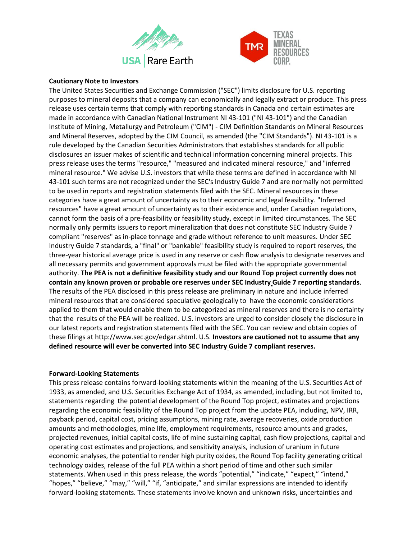



#### **Cautionary Note to Investors**

The United States Securities and Exchange Commission ("SEC") limits disclosure for U.S. reporting purposes to mineral deposits that a company can economically and legally extract or produce. This press release uses certain terms that comply with reporting standards in Canada and certain estimates are made in accordance with Canadian National Instrument NI 43-101 ("NI 43-101") and the Canadian Institute of Mining, Metallurgy and Petroleum ("CIM") - CIM Definition Standards on Mineral Resources and Mineral Reserves, adopted by the CIM Council, as amended (the "CIM Standards"). NI 43-101 is a rule developed by the Canadian Securities Administrators that establishes standards for all public disclosures an issuer makes of scientific and technical information concerning mineral projects. This press release uses the terms "resource," "measured and indicated mineral resource," and "inferred mineral resource." We advise U.S. investors that while these terms are defined in accordance with NI 43-101 such terms are not recognized under the SEC's Industry Guide 7 and are normally not permitted to be used in reports and registration statements filed with the SEC. Mineral resources in these categories have a great amount of uncertainty as to their economic and legal feasibility. "Inferred resources" have a great amount of uncertainty as to their existence and, under Canadian regulations, cannot form the basis of a pre-feasibility or feasibility study, except in limited circumstances. The SEC normally only permits issuers to report mineralization that does not constitute SEC Industry Guide 7 compliant "reserves" as in-place tonnage and grade without reference to unit measures. Under SEC Industry Guide 7 standards, a "final" or "bankable" feasibility study is required to report reserves, the three-year historical average price is used in any reserve or cash flow analysis to designate reserves and all necessary permits and government approvals must be filed with the appropriate governmental authority. **The PEA is not a definitive feasibility study and our Round Top project currently does not contain any known proven or probable ore reserves under SEC Industry Guide 7 reporting standards**. The results of the PEA disclosed in this press release are preliminary in nature and include inferred mineral resources that are considered speculative geologically to have the economic considerations applied to them that would enable them to be categorized as mineral reserves and there is no certainty that the results of the PEA will be realized. U.S. investors are urged to consider closely the disclosure in our latest reports and registration statements filed with the SEC. You can review and obtain copies of these filings at http://www.sec.gov/edgar.shtml. U.S. **Investors are cautioned not to assume that any defined resource will ever be converted into SEC Industry Guide 7 compliant reserves.**

#### **Forward-Looking Statements**

This press release contains forward-looking statements within the meaning of the U.S. Securities Act of 1933, as amended, and U.S. Securities Exchange Act of 1934, as amended, including, but not limited to, statements regarding the potential development of the Round Top project, estimates and projections regarding the economic feasibility of the Round Top project from the update PEA, including, NPV, IRR, payback period, capital cost, pricing assumptions, mining rate, average recoveries, oxide production amounts and methodologies, mine life, employment requirements, resource amounts and grades, projected revenues, initial capital costs, life of mine sustaining capital, cash flow projections, capital and operating cost estimates and projections, and sensitivity analysis, inclusion of uranium in future economic analyses, the potential to render high purity oxides, the Round Top facility generating critical technology oxides, release of the full PEA within a short period of time and other such similar statements. When used in this press release, the words "potential," "indicate," "expect," "intend," "hopes," "believe," "may," "will," "if, "anticipate," and similar expressions are intended to identify forward-looking statements. These statements involve known and unknown risks, uncertainties and